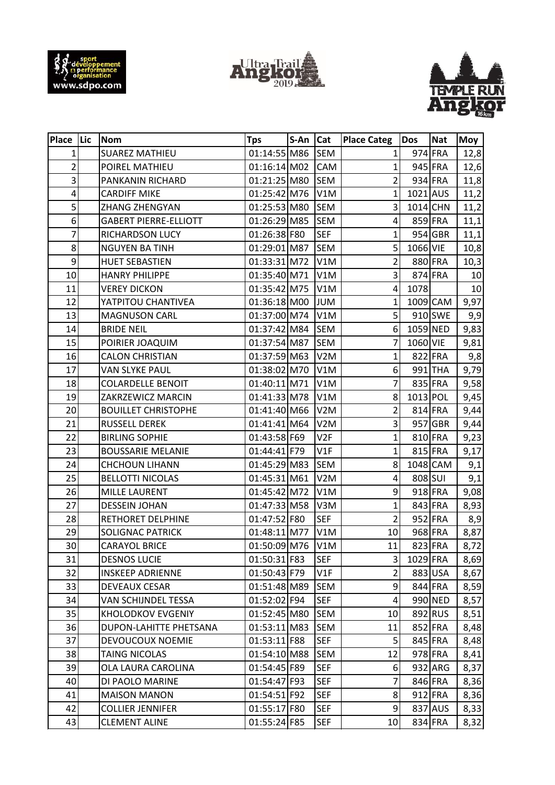





| Place   Lic     | <b>Nom</b>                   | <b>Tps</b>     | S-An Cat |                  | <b>Place Categ</b> | Dos      | <b>Nat</b> | Moy  |
|-----------------|------------------------------|----------------|----------|------------------|--------------------|----------|------------|------|
| 1               | <b>SUAREZ MATHIEU</b>        | 01:14:55 M86   |          | <b>SEM</b>       | $\mathbf{1}$       |          | 974 FRA    | 12,8 |
| $\overline{c}$  | POIREL MATHIEU               | $01:16:14$ M02 |          | CAM              | $\mathbf{1}$       |          | 945 FRA    | 12,6 |
| 3               | PANKANIN RICHARD             | 01:21:25 M80   |          | <b>SEM</b>       | $\overline{2}$     |          | 934 FRA    | 11,8 |
| 4               | <b>CARDIFF MIKE</b>          | 01:25:42 M76   |          | V1M              | 1                  | 1021 AUS |            | 11,2 |
| 5               | ZHANG ZHENGYAN               | 01:25:53 M80   |          | <b>SEM</b>       | 3                  | 1014 CHN |            | 11,2 |
| 6               | <b>GABERT PIERRE-ELLIOTT</b> | 01:26:29 M85   |          | <b>SEM</b>       | 4                  |          | 859 FRA    | 11,1 |
| $\overline{7}$  | RICHARDSON LUCY              | 01:26:38 F80   |          | <b>SEF</b>       | $\mathbf{1}$       |          | 954 GBR    | 11,1 |
| 8               | <b>NGUYEN BA TINH</b>        | 01:29:01 M87   |          | <b>SEM</b>       | 5                  | 1066 VIE |            | 10,8 |
| 9               | <b>HUET SEBASTIEN</b>        | 01:33:31 M72   |          | V1M              | $\overline{2}$     |          | 880 FRA    | 10,3 |
| 10              | <b>HANRY PHILIPPE</b>        | 01:35:40 M71   |          | V1M              | 3                  |          | 874 FRA    | 10   |
| 11              | <b>VEREY DICKON</b>          | 01:35:42 M75   |          | V1M              | 4                  | 1078     |            | 10   |
| 12              | YATPITOU CHANTIVEA           | 01:36:18 M00   |          | <b>JUM</b>       | $\mathbf{1}$       |          | 1009 CAM   | 9,97 |
| 13              | <b>MAGNUSON CARL</b>         | 01:37:00 M74   |          | V1M              | 5                  |          | 910 SWE    | 9,9  |
| 14              | <b>BRIDE NEIL</b>            | 01:37:42 M84   |          | <b>SEM</b>       | 6                  | 1059 NED |            | 9,83 |
| 15              | POIRIER JOAQUIM              | 01:37:54 M87   |          | <b>SEM</b>       | 7                  | 1060 VIE |            | 9,81 |
| 16              | <b>CALON CHRISTIAN</b>       | 01:37:59 M63   |          | V <sub>2</sub> M | 1                  |          | 822 FRA    | 9,8  |
| 17              | <b>VAN SLYKE PAUL</b>        | 01:38:02 M70   |          | V1M              | 6                  |          | 991 THA    | 9,79 |
| 18              | <b>COLARDELLE BENOIT</b>     | 01:40:11 M71   |          | V1M              | $\overline{7}$     |          | 835 FRA    | 9,58 |
| 19              | ZAKRZEWICZ MARCIN            | 01:41:33 M78   |          | V1M              | 8                  | 1013 POL |            | 9,45 |
| 20              | <b>BOUILLET CHRISTOPHE</b>   | 01:41:40 M66   |          | V2M              | $\overline{2}$     |          | 814 FRA    | 9,44 |
| 21              | <b>RUSSELL DEREK</b>         | 01:41:41 M64   |          | V <sub>2</sub> M | 3                  |          | 957 GBR    | 9,44 |
| 22              | <b>BIRLING SOPHIE</b>        | 01:43:58 F69   |          | V2F              | $\mathbf 1$        |          | 810 FRA    | 9,23 |
| 23              | <b>BOUSSARIE MELANIE</b>     | 01:44:41 F79   |          | V1F              | $\mathbf 1$        |          | 815 FRA    | 9,17 |
| 24              | <b>CHCHOUN LIHANN</b>        | 01:45:29 M83   |          | <b>SEM</b>       | 8                  |          | 1048 CAM   | 9,1  |
| 25              | <b>BELLOTTI NICOLAS</b>      | 01:45:31 M61   |          | V <sub>2</sub> M | 4                  | 808 SUI  |            | 9,1  |
| 26              | <b>MILLE LAURENT</b>         | 01:45:42 M72   |          | V1M              | 9                  |          | 918 FRA    | 9,08 |
| 27              | <b>DESSEIN JOHAN</b>         | 01:47:33 M58   |          | V3M              | 1                  |          | 843 FRA    | 8,93 |
| 28              | RETHORET DELPHINE            | 01:47:52 F80   |          | <b>SEF</b>       | $\overline{2}$     |          | 952 FRA    | 8,9  |
| 29              | <b>SOLIGNAC PATRICK</b>      | 01:48:11 M77   |          | V1M              | 10                 |          | 968 FRA    | 8,87 |
| 30 <sup>1</sup> | <b>CARAYOL BRICE</b>         | 01:50:09 M76   |          | V1M              | 11                 |          | 823 FRA    | 8,72 |
| 31              | <b>DESNOS LUCIE</b>          | 01:50:31 F83   |          | <b>SEF</b>       | 3                  | 1029 FRA |            | 8,69 |
| 32              | <b>INSKEEP ADRIENNE</b>      | 01:50:43 F79   |          | V1F              | $\overline{2}$     |          | 883 USA    | 8,67 |
| 33              | <b>DEVEAUX CESAR</b>         | 01:51:48 M89   |          | <b>SEM</b>       | 9                  |          | 844 FRA    | 8,59 |
| 34              | VAN SCHIJNDEL TESSA          | 01:52:02 F94   |          | <b>SEF</b>       | $\overline{4}$     |          | 990 NED    | 8,57 |
| 35              | KHOLODKOV EVGENIY            | 01:52:45 M80   |          | <b>SEM</b>       | 10                 |          | 892 RUS    | 8,51 |
| 36              | DUPON-LAHITTE PHETSANA       | 01:53:11 M83   |          | <b>SEM</b>       | 11                 |          | 852 FRA    | 8,48 |
| 37              | DEVOUCOUX NOEMIE             | 01:53:11 F88   |          | <b>SEF</b>       | 5                  |          | 845 FRA    | 8,48 |
| 38              | <b>TAING NICOLAS</b>         | 01:54:10 M88   |          | <b>SEM</b>       | 12                 |          | 978 FRA    | 8,41 |
| 39              | OLA LAURA CAROLINA           | 01:54:45 F89   |          | <b>SEF</b>       | 6                  |          | 932 ARG    | 8,37 |
| 40              | DI PAOLO MARINE              | 01:54:47 F93   |          | <b>SEF</b>       | 7                  |          | 846 FRA    | 8,36 |
| 41              | <b>MAISON MANON</b>          | 01:54:51 F92   |          | <b>SEF</b>       | 8                  |          | 912 FRA    | 8,36 |
| 42              | <b>COLLIER JENNIFER</b>      | 01:55:17 F80   |          | <b>SEF</b>       | 9                  |          | 837 AUS    | 8,33 |
| 43              | <b>CLEMENT ALINE</b>         | 01:55:24 F85   |          | <b>SEF</b>       | 10                 |          | 834 FRA    | 8,32 |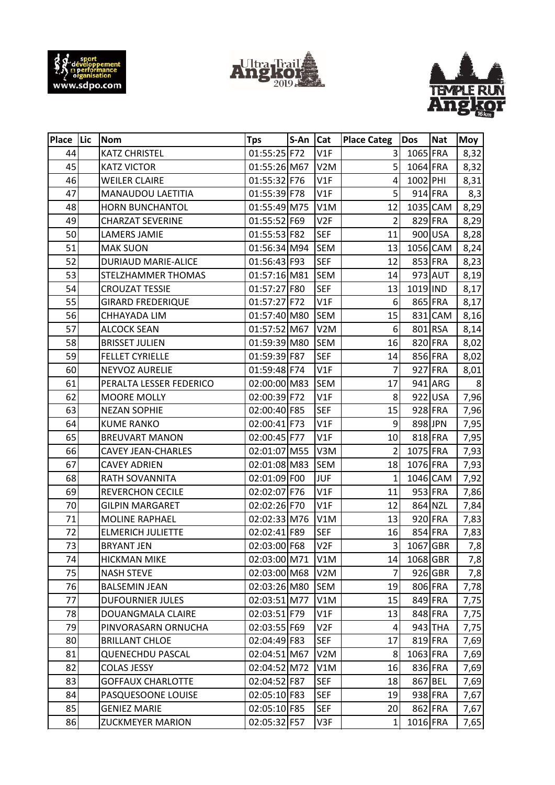





| Place Lic | <b>Nom</b>                 | <b>Tps</b>   | S-An | <b>Cat</b>       | <b>Place Categ</b> | <b>Dos</b> | <b>Nat</b> | Moy            |
|-----------|----------------------------|--------------|------|------------------|--------------------|------------|------------|----------------|
| 44        | <b>KATZ CHRISTEL</b>       | 01:55:25 F72 |      | V1F              | 3                  | 1065 FRA   |            | 8,32           |
| 45        | <b>KATZ VICTOR</b>         | 01:55:26 M67 |      | V <sub>2</sub> M | 5                  | 1064 FRA   |            | 8,32           |
| 46        | <b>WEILER CLAIRE</b>       | 01:55:32 F76 |      | V1F              | 4                  | 1002 PHI   |            | 8,31           |
| 47        | MANAUDOU LAETITIA          | 01:55:39 F78 |      | V1F              | 5                  |            | 914 FRA    | 8,3            |
| 48        | HORN BUNCHANTOL            | 01:55:49 M75 |      | V1M              | 12                 |            | 1035 CAM   | 8,29           |
| 49        | <b>CHARZAT SEVERINE</b>    | 01:55:52 F69 |      | V <sub>2F</sub>  | $\overline{2}$     |            | 829 FRA    | 8,29           |
| 50        | <b>LAMERS JAMIE</b>        | 01:55:53 F82 |      | <b>SEF</b>       | 11                 |            | 900 USA    | 8,28           |
| 51        | <b>MAK SUON</b>            | 01:56:34 M94 |      | <b>SEM</b>       | 13                 |            | 1056 CAM   | 8,24           |
| 52        | <b>DURIAUD MARIE-ALICE</b> | 01:56:43 F93 |      | <b>SEF</b>       | 12                 |            | 853 FRA    | 8,23           |
| 53        | STELZHAMMER THOMAS         | 01:57:16 M81 |      | <b>SEM</b>       | 14                 |            | 973 AUT    | 8,19           |
| 54        | <b>CROUZAT TESSIE</b>      | 01:57:27 F80 |      | <b>SEF</b>       | 13                 | 1019 IND   |            | 8,17           |
| 55        | <b>GIRARD FREDERIQUE</b>   | 01:57:27 F72 |      | V1F              | 6                  |            | 865 FRA    | 8,17           |
| 56        | CHHAYADA LIM               | 01:57:40 M80 |      | <b>SEM</b>       | 15                 |            | 831 CAM    | 8,16           |
| 57        | <b>ALCOCK SEAN</b>         | 01:57:52 M67 |      | V <sub>2</sub> M | 6                  |            | 801 RSA    | 8,14           |
| 58        | <b>BRISSET JULIEN</b>      | 01:59:39 M80 |      | <b>SEM</b>       | 16                 |            | 820 FRA    | 8,02           |
| 59        | <b>FELLET CYRIELLE</b>     | 01:59:39 F87 |      | <b>SEF</b>       | 14                 |            | 856 FRA    | 8,02           |
| 60        | NEYVOZ AURELIE             | 01:59:48 F74 |      | V1F              | 7                  |            | 927 FRA    | 8,01           |
| 61        | PERALTA LESSER FEDERICO    | 02:00:00 M83 |      | <b>SEM</b>       | 17                 |            | 941 ARG    | 8 <sup>1</sup> |
| 62        | <b>MOORE MOLLY</b>         | 02:00:39 F72 |      | V1F              | 8                  |            | 922 USA    | 7,96           |
| 63        | <b>NEZAN SOPHIE</b>        | 02:00:40 F85 |      | <b>SEF</b>       | 15                 |            | 928 FRA    | 7,96           |
| 64        | <b>KUME RANKO</b>          | 02:00:41 F73 |      | V1F              | 9                  |            | 898 JPN    | 7,95           |
| 65        | <b>BREUVART MANON</b>      | 02:00:45 F77 |      | V1F              | 10                 |            | 818 FRA    | 7,95           |
| 66        | CAVEY JEAN-CHARLES         | 02:01:07 M55 |      | V3M              | 2                  | 1075 FRA   |            | 7,93           |
| 67        | <b>CAVEY ADRIEN</b>        | 02:01:08 M83 |      | <b>SEM</b>       | 18                 | 1076 FRA   |            | 7,93           |
| 68        | RATH SOVANNITA             | 02:01:09 F00 |      | <b>JUF</b>       | $\mathbf{1}$       |            | 1046 CAM   | 7,92           |
| 69        | <b>REVERCHON CECILE</b>    | 02:02:07 F76 |      | V1F              | 11                 |            | 953 FRA    | 7,86           |
| 70        | <b>GILPIN MARGARET</b>     | 02:02:26 F70 |      | V1F              | 12                 |            | 864 NZL    | 7,84           |
| 71        | <b>MOLINE RAPHAEL</b>      | 02:02:33 M76 |      | V1M              | 13                 |            | 920 FRA    | 7,83           |
| 72        | <b>ELMERICH JULIETTE</b>   | 02:02:41 F89 |      | <b>SEF</b>       | 16                 |            | 854 FRA    | 7,83           |
| 73        | <b>BRYANT JEN</b>          | 02:03:00 F68 |      | V <sub>2F</sub>  | 3                  | 1067 GBR   |            | 7,8            |
| 74        | <b>HICKMAN MIKE</b>        | 02:03:00 M71 |      | V1M              | 14                 | 1068 GBR   |            | 7,8            |
| 75        | <b>NASH STEVE</b>          | 02:03:00 M68 |      | V <sub>2</sub> M | 7                  |            | 926 GBR    | 7,8            |
| 76        | <b>BALSEMIN JEAN</b>       | 02:03:26 M80 |      | SEM              | 19                 |            | 806 FRA    | 7,78           |
| 77        | <b>DUFOURNIER JULES</b>    | 02:03:51 M77 |      | V1M              | 15                 |            | 849 FRA    | 7,75           |
| 78        | DOUANGMALA CLAIRE          | 02:03:51 F79 |      | V1F              | 13                 |            | 848 FRA    | 7,75           |
| 79        | PINVORASARN ORNUCHA        | 02:03:55 F69 |      | V2F              | 4                  |            | 943 THA    | 7,75           |
| 80        | <b>BRILLANT CHLOE</b>      | 02:04:49 F83 |      | <b>SEF</b>       | 17                 |            | 819 FRA    | 7,69           |
| 81        | <b>QUENECHDU PASCAL</b>    | 02:04:51 M67 |      | V <sub>2</sub> M | 8                  | 1063 FRA   |            | 7,69           |
| 82        | <b>COLAS JESSY</b>         | 02:04:52 M72 |      | V1M              | 16                 |            | 836 FRA    | 7,69           |
| 83        | <b>GOFFAUX CHARLOTTE</b>   | 02:04:52 F87 |      | <b>SEF</b>       | 18                 |            | 867 BEL    | 7,69           |
| 84        | PASQUESOONE LOUISE         | 02:05:10 F83 |      | <b>SEF</b>       | 19                 |            | 938 FRA    | 7,67           |
| 85        | <b>GENIEZ MARIE</b>        | 02:05:10 F85 |      | <b>SEF</b>       | 20                 |            | 862 FRA    | 7,67           |
| 86        | <b>ZUCKMEYER MARION</b>    | 02:05:32 F57 |      | V3F              | $\mathbf{1}$       | 1016 FRA   |            | 7,65           |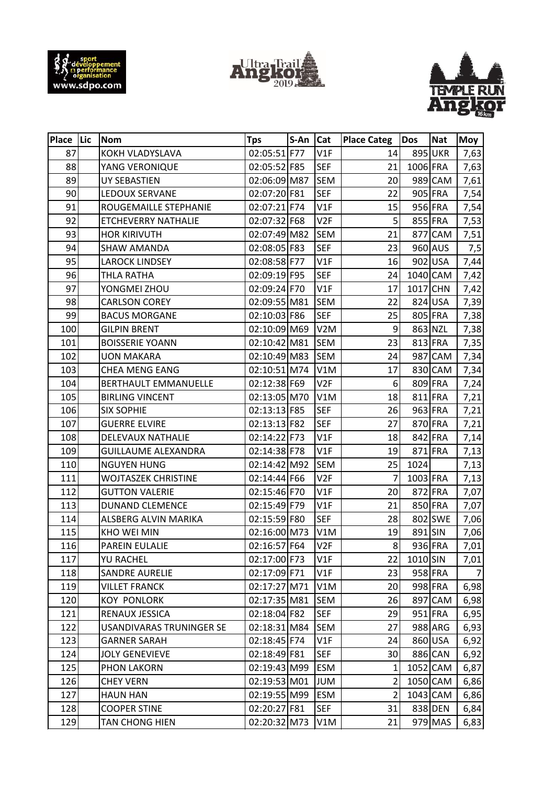





| Place Lic | <b>Nom</b>                      | <b>Tps</b>   | S-An | <b>Cat</b>       | <b>Place Categ</b> | Dos      | <b>Nat</b> | <b>Moy</b>     |
|-----------|---------------------------------|--------------|------|------------------|--------------------|----------|------------|----------------|
| 87        | KOKH VLADYSLAVA                 | 02:05:51 F77 |      | V1F              | 14                 |          | 895 UKR    | 7,63           |
| 88        | YANG VERONIQUE                  | 02:05:52 F85 |      | <b>SEF</b>       | 21                 | 1006 FRA |            | 7,63           |
| 89        | <b>UY SEBASTIEN</b>             | 02:06:09 M87 |      | <b>SEM</b>       | 20                 |          | 989 CAM    | 7,61           |
| 90        | LEDOUX SERVANE                  | 02:07:20 F81 |      | <b>SEF</b>       | 22                 |          | 905 FRA    | 7,54           |
| 91        | ROUGEMAILLE STEPHANIE           | 02:07:21 F74 |      | V1F              | 15                 |          | 956 FRA    | 7,54           |
| 92        | ETCHEVERRY NATHALIE             | 02:07:32 F68 |      | V <sub>2F</sub>  | 5                  |          | 855 FRA    | 7,53           |
| 93        | <b>HOR KIRIVUTH</b>             | 02:07:49 M82 |      | <b>SEM</b>       | 21                 |          | 877 CAM    | 7,51           |
| 94        | <b>SHAW AMANDA</b>              | 02:08:05 F83 |      | <b>SEF</b>       | 23                 |          | 960 AUS    | 7,5            |
| 95        | <b>LAROCK LINDSEY</b>           | 02:08:58 F77 |      | V1F              | 16                 |          | 902 USA    | 7,44           |
| 96        | THLA RATHA                      | 02:09:19 F95 |      | <b>SEF</b>       | 24                 |          | 1040 CAM   | 7,42           |
| 97        | YONGMEI ZHOU                    | 02:09:24 F70 |      | V1F              | 17                 | 1017 CHN |            | 7,42           |
| 98        | <b>CARLSON COREY</b>            | 02:09:55 M81 |      | <b>SEM</b>       | 22                 |          | 824 USA    | 7,39           |
| 99        | <b>BACUS MORGANE</b>            | 02:10:03 F86 |      | <b>SEF</b>       | 25                 |          | 805 FRA    | 7,38           |
| 100       | <b>GILPIN BRENT</b>             | 02:10:09 M69 |      | V <sub>2</sub> M | 9                  |          | 863 NZL    | 7,38           |
| 101       | <b>BOISSERIE YOANN</b>          | 02:10:42 M81 |      | <b>SEM</b>       | 23                 |          | 813 FRA    | 7,35           |
| 102       | <b>UON MAKARA</b>               | 02:10:49 M83 |      | <b>SEM</b>       | 24                 |          | 987 CAM    | 7,34           |
| 103       | <b>CHEA MENG EANG</b>           | 02:10:51 M74 |      | V1M              | 17                 |          | 830 CAM    | 7,34           |
| 104       | <b>BERTHAULT EMMANUELLE</b>     | 02:12:38 F69 |      | V <sub>2F</sub>  | 6                  |          | 809 FRA    | 7,24           |
| 105       | <b>BIRLING VINCENT</b>          | 02:13:05 M70 |      | V1M              | 18                 |          | 811 FRA    | 7,21           |
| 106       | <b>SIX SOPHIE</b>               | 02:13:13 F85 |      | <b>SEF</b>       | 26                 |          | 963 FRA    | 7,21           |
| 107       | <b>GUERRE ELVIRE</b>            | 02:13:13 F82 |      | <b>SEF</b>       | 27                 |          | 870 FRA    | 7,21           |
| 108       | DELEVAUX NATHALIE               | 02:14:22 F73 |      | V1F              | 18                 |          | 842 FRA    | 7,14           |
| 109       | <b>GUILLAUME ALEXANDRA</b>      | 02:14:38 F78 |      | V1F              | 19                 |          | 871 FRA    | 7,13           |
| 110       | <b>NGUYEN HUNG</b>              | 02:14:42 M92 |      | <b>SEM</b>       | 25                 | 1024     |            | 7,13           |
| 111       | <b>WOJTASZEK CHRISTINE</b>      | 02:14:44 F66 |      | V <sub>2F</sub>  | 7                  | 1003 FRA |            | 7,13           |
| 112       | <b>GUTTON VALERIE</b>           | 02:15:46 F70 |      | V1F              | 20                 |          | 872 FRA    | 7,07           |
| 113       | <b>DUNAND CLEMENCE</b>          | 02:15:49 F79 |      | V1F              | 21                 |          | 850 FRA    | 7,07           |
| 114       | ALSBERG ALVIN MARIKA            | 02:15:59 F80 |      | <b>SEF</b>       | 28                 |          | 802 SWE    | 7,06           |
| 115       | <b>KHO WEI MIN</b>              | 02:16:00 M73 |      | V1M              | 19                 | 891 SIN  |            | 7,06           |
| 116       | PAREIN EULALIE                  | 02:16:57 F64 |      | V2F              | 8                  |          | 936 FRA    | 7,01           |
| 117       | YU RACHEL                       | 02:17:00 F73 |      | V1F              | 22                 | 1010 SIN |            | 7,01           |
| 118       | <b>SANDRE AURELIE</b>           | 02:17:09 F71 |      | V1F              | 23                 |          | 958 FRA    | $\overline{7}$ |
| 119       | <b>VILLET FRANCK</b>            | 02:17:27 M71 |      | V1M              | 20                 |          | 998 FRA    | 6,98           |
| 120       | <b>KOY PONLORK</b>              | 02:17:35 M81 |      | <b>SEM</b>       | 26                 |          | 897 CAM    | 6,98           |
| 121       | RENAUX JESSICA                  | 02:18:04 F82 |      | <b>SEF</b>       | 29                 |          | $951$ FRA  | 6,95           |
| 122       | <b>USANDIVARAS TRUNINGER SE</b> | 02:18:31 M84 |      | <b>SEM</b>       | 27                 |          | 988 ARG    | 6,93           |
| 123       | <b>GARNER SARAH</b>             | 02:18:45 F74 |      | V1F              | 24                 |          | 860 USA    | 6,92           |
| 124       | <b>JOLY GENEVIEVE</b>           | 02:18:49 F81 |      | <b>SEF</b>       | 30                 |          | 886 CAN    | 6,92           |
| 125       | <b>PHON LAKORN</b>              | 02:19:43 M99 |      | <b>ESM</b>       | 1                  |          | 1052 CAM   | 6,87           |
| 126       | <b>CHEY VERN</b>                | 02:19:53 M01 |      | <b>JUM</b>       | 2                  |          | 1050 CAM   | 6,86           |
| 127       | <b>HAUN HAN</b>                 | 02:19:55 M99 |      | <b>ESM</b>       | $\overline{2}$     | 1043 CAM |            | 6,86           |
| 128       | <b>COOPER STINE</b>             | 02:20:27 F81 |      | <b>SEF</b>       | 31                 |          | 838 DEN    | 6,84           |
| 129       | TAN CHONG HIEN                  | 02:20:32 M73 |      | V1M              | 21                 |          | 979 MAS    | 6,83           |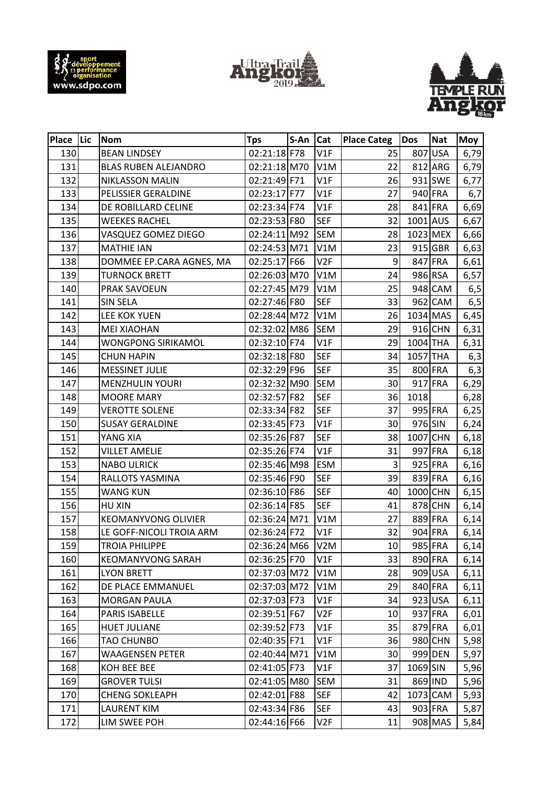





| Place Lic | Nom                        | <b>Tps</b>   | S-An Cat |                  | <b>Place Categ</b> | Dos      | <b>Nat</b> | <b>Moy</b> |
|-----------|----------------------------|--------------|----------|------------------|--------------------|----------|------------|------------|
| 130       | <b>BEAN LINDSEY</b>        | 02:21:18 F78 |          | V1F              | 25                 |          | 807 USA    | 6,79       |
| 131       | BLAS RUBEN ALEJANDRO       | 02:21:18 M70 |          | V1M              | 22                 |          | 812 ARG    | 6,79       |
| 132       | NIKLASSON MALIN            | 02:21:49 F71 |          | V1F              | 26                 |          | 931 SWE    | 6,77       |
| 133       | PELISSIER GERALDINE        | 02:23:17 F77 |          | V1F              | 27                 |          | 940 FRA    | 6,7        |
| 134       | DE ROBILLARD CELINE        | 02:23:34 F74 |          | V1F              | 28                 |          | 841 FRA    | 6,69       |
| 135       | <b>WEEKES RACHEL</b>       | 02:23:53 F80 |          | <b>SEF</b>       | 32                 | 1001 AUS |            | 6,67       |
| 136       | VASQUEZ GOMEZ DIEGO        | 02:24:11 M92 |          | <b>SEM</b>       | 28                 |          | 1023 MEX   | 6,66       |
| 137       | <b>MATHIE IAN</b>          | 02:24:53 M71 |          | V1M              | 23                 |          | 915 GBR    | 6,63       |
| 138       | DOMMEE EP.CARA AGNES, MA   | 02:25:17 F66 |          | V <sub>2F</sub>  | 9                  |          | 847 FRA    | 6,61       |
| 139       | <b>TURNOCK BRETT</b>       | 02:26:03 M70 |          | V1M              | 24                 |          | 986 RSA    | 6,57       |
| 140       | PRAK SAVOEUN               | 02:27:45 M79 |          | V1M              | 25                 |          | 948 CAM    | 6,5        |
| 141       | <b>SIN SELA</b>            | 02:27:46 F80 |          | <b>SEF</b>       | 33                 |          | 962 CAM    | 6,5        |
| 142       | LEE KOK YUEN               | 02:28:44 M72 |          | V1M              | 26                 |          | 1034 MAS   | 6,45       |
| 143       | <b>MEI XIAOHAN</b>         | 02:32:02 M86 |          | <b>SEM</b>       | 29                 |          | 916 CHN    | 6,31       |
| 144       | <b>WONGPONG SIRIKAMOL</b>  | 02:32:10 F74 |          | V1F              | 29                 | 1004 THA |            | 6,31       |
| 145       | <b>CHUN HAPIN</b>          | 02:32:18 F80 |          | <b>SEF</b>       | 34                 | 1057 THA |            | 6,3        |
| 146       | <b>MESSINET JULIE</b>      | 02:32:29 F96 |          | <b>SEF</b>       | 35                 |          | 800 FRA    | 6,3        |
| 147       | <b>MENZHULIN YOURI</b>     | 02:32:32 M90 |          | <b>SEM</b>       | 30                 |          | 917 FRA    | 6,29       |
| 148       | <b>MOORE MARY</b>          | 02:32:57 F82 |          | <b>SEF</b>       | 36                 | 1018     |            | 6,28       |
| 149       | <b>VEROTTE SOLENE</b>      | 02:33:34 F82 |          | <b>SEF</b>       | 37                 |          | 995 FRA    | 6,25       |
| 150       | <b>SUSAY GERALDINE</b>     | 02:33:45 F73 |          | V1F              | 30                 | 976 SIN  |            | 6,24       |
| 151       | YANG XIA                   | 02:35:26 F87 |          | <b>SEF</b>       | 38                 | 1007 CHN |            | 6,18       |
| 152       | <b>VILLET AMELIE</b>       | 02:35:26 F74 |          | V1F              | 31                 |          | 997 FRA    | 6,18       |
| 153       | <b>NABO ULRICK</b>         | 02:35:46 M98 |          | <b>ESM</b>       | 3                  |          | 925 FRA    | 6,16       |
| 154       | RALLOTS YASMINA            | 02:35:46 F90 |          | <b>SEF</b>       | 39                 |          | 839 FRA    | 6,16       |
| 155       | WANG KUN                   | 02:36:10 F86 |          | <b>SEF</b>       | 40                 | 1000 CHN |            | 6,15       |
| 156       | HU XIN                     | 02:36:14 F85 |          | <b>SEF</b>       | 41                 |          | 878 CHN    | 6,14       |
| 157       | <b>KEOMANYVONG OLIVIER</b> | 02:36:24 M71 |          | V1M              | 27                 |          | 889 FRA    | 6,14       |
| 158       | LE GOFF-NICOLI TROIA ARM   | 02:36:24 F72 |          | V1F              | 32                 |          | 904 FRA    | 6,14       |
| 159       | <b>TROIA PHILIPPE</b>      | 02:36:24 M66 |          | V <sub>2</sub> M | 10 <sup>1</sup>    |          | 985 FRA    | 6,14       |
| 160       | <b>KEOMANYVONG SARAH</b>   | 02:36:25 F70 |          | V1F              | 33                 |          | 890 FRA    | 6,14       |
| 161       | <b>LYON BRETT</b>          | 02:37:03 M72 |          | V1M              | 28                 |          | 909 USA    | 6,11       |
| 162       | DE PLACE EMMANUEL          | 02:37:03 M72 |          | V1M              | 29                 |          | 840 FRA    | 6,11       |
| 163       | <b>MORGAN PAULA</b>        | 02:37:03 F73 |          | V1F              | 34                 |          | 923 USA    | 6,11       |
| 164       | PARIS ISABELLE             | 02:39:51 F67 |          | V2F              | 10                 |          | 937 FRA    | 6,01       |
| 165       | <b>HUET JULIANE</b>        | 02:39:52 F73 |          | V1F              | 35                 |          | 879 FRA    | 6,01       |
| 166       | TAO CHUNBO                 | 02:40:35 F71 |          | V1F              | 36                 |          | 980 CHN    | 5,98       |
| 167       | WAAGENSEN PETER            | 02:40:44 M71 |          | V1M              | 30                 |          | 999 DEN    | 5,97       |
| 168       | KOH BEE BEE                | 02:41:05 F73 |          | V1F              | 37                 | 1069 SIN |            | 5,96       |
| 169       | <b>GROVER TULSI</b>        | 02:41:05 M80 |          | <b>SEM</b>       | 31                 |          | 869 IND    | 5,96       |
| 170       | <b>CHENG SOKLEAPH</b>      | 02:42:01 F88 |          | <b>SEF</b>       | 42                 |          | 1073 CAM   | 5,93       |
| 171       | <b>LAURENT KIM</b>         | 02:43:34 F86 |          | <b>SEF</b>       | 43                 |          | 903 FRA    | 5,87       |
| 172       | LIM SWEE POH               | 02:44:16 F66 |          | V2F              | 11                 |          | 908 MAS    | 5,84       |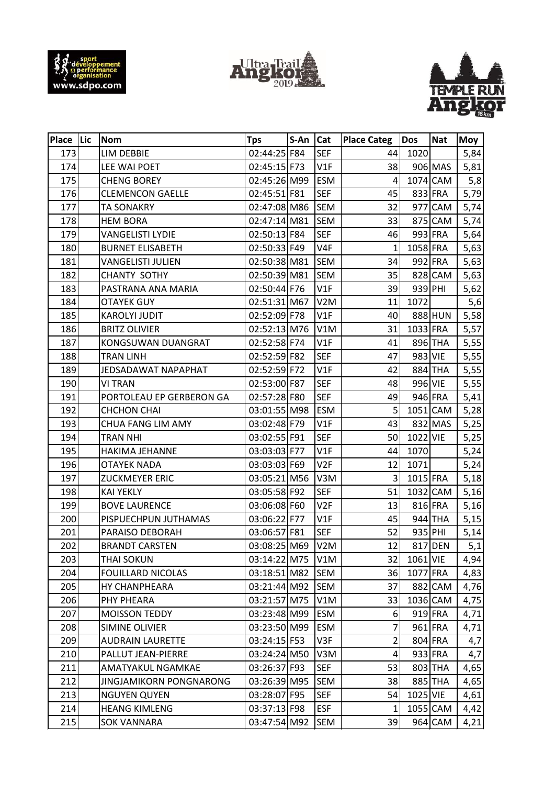





| Place Lic | <b>Nom</b>               | <b>Tps</b>   | S-An | <b>Cat</b>       | <b>Place Categ</b> | Dos      | <b>Nat</b> | Moy  |
|-----------|--------------------------|--------------|------|------------------|--------------------|----------|------------|------|
| 173       | LIM DEBBIE               | 02:44:25 F84 |      | <b>SEF</b>       | 44                 | 1020     |            | 5,84 |
| 174       | LEE WAI POET             | 02:45:15 F73 |      | V1F              | 38                 |          | 906 MAS    | 5,81 |
| 175       | <b>CHENG BOREY</b>       | 02:45:26 M99 |      | <b>ESM</b>       | 4                  |          | 1074 CAM   | 5,8  |
| 176       | <b>CLEMENCON GAELLE</b>  | 02:45:51 F81 |      | <b>SEF</b>       | 45                 |          | 833 FRA    | 5,79 |
| 177       | <b>TA SONAKRY</b>        | 02:47:08 M86 |      | <b>SEM</b>       | 32                 |          | 977 CAM    | 5,74 |
| 178       | <b>HEM BORA</b>          | 02:47:14 M81 |      | <b>SEM</b>       | 33                 |          | 875 CAM    | 5,74 |
| 179       | <b>VANGELISTI LYDIE</b>  | 02:50:13 F84 |      | <b>SEF</b>       | 46                 |          | 993 FRA    | 5,64 |
| 180       | <b>BURNET ELISABETH</b>  | 02:50:33 F49 |      | V <sub>4F</sub>  | $\mathbf{1}$       | 1058 FRA |            | 5,63 |
| 181       | <b>VANGELISTI JULIEN</b> | 02:50:38 M81 |      | <b>SEM</b>       | 34                 |          | 992 FRA    | 5,63 |
| 182       | <b>CHANTY SOTHY</b>      | 02:50:39 M81 |      | <b>SEM</b>       | 35                 |          | 828 CAM    | 5,63 |
| 183       | PASTRANA ANA MARIA       | 02:50:44 F76 |      | V1F              | 39                 | 939 PHI  |            | 5,62 |
| 184       | <b>OTAYEK GUY</b>        | 02:51:31 M67 |      | V <sub>2</sub> M | 11                 | 1072     |            | 5,6  |
| 185       | <b>KAROLYI JUDIT</b>     | 02:52:09 F78 |      | V1F              | 40                 |          | 888 HUN    | 5,58 |
| 186       | <b>BRITZ OLIVIER</b>     | 02:52:13 M76 |      | V1M              | 31                 | 1033 FRA |            | 5,57 |
| 187       | KONGSUWAN DUANGRAT       | 02:52:58 F74 |      | V1F              | 41                 |          | 896 THA    | 5,55 |
| 188       | TRAN LINH                | 02:52:59 F82 |      | <b>SEF</b>       | 47                 | 983 VIE  |            | 5,55 |
| 189       | JEDSADAWAT NAPAPHAT      | 02:52:59 F72 |      | V1F              | 42                 |          | 884 THA    | 5,55 |
| 190       | <b>VI TRAN</b>           | 02:53:00 F87 |      | <b>SEF</b>       | 48                 | 996 VIE  |            | 5,55 |
| 191       | PORTOLEAU EP GERBERON GA | 02:57:28 F80 |      | <b>SEF</b>       | 49                 |          | 946 FRA    | 5,41 |
| 192       | <b>CHCHON CHAI</b>       | 03:01:55 M98 |      | <b>ESM</b>       | 5                  |          | 1051 CAM   | 5,28 |
| 193       | CHUA FANG LIM AMY        | 03:02:48 F79 |      | V1F              | 43                 |          | 832 MAS    | 5,25 |
| 194       | <b>TRAN NHI</b>          | 03:02:55 F91 |      | <b>SEF</b>       | 50                 | 1022 VIE |            | 5,25 |
| 195       | HAKIMA JEHANNE           | 03:03:03 F77 |      | V1F              | 44                 | 1070     |            | 5,24 |
| 196       | <b>OTAYEK NADA</b>       | 03:03:03 F69 |      | V <sub>2F</sub>  | 12                 | 1071     |            | 5,24 |
| 197       | <b>ZUCKMEYER ERIC</b>    | 03:05:21 M56 |      | V3M              | 3                  | 1015 FRA |            | 5,18 |
| 198       | <b>KAI YEKLY</b>         | 03:05:58 F92 |      | <b>SEF</b>       | 51                 |          | 1032 CAM   | 5,16 |
| 199       | <b>BOVE LAURENCE</b>     | 03:06:08 F60 |      | V <sub>2F</sub>  | 13                 |          | 816 FRA    | 5,16 |
| 200       | PISPUECHPUN JUTHAMAS     | 03:06:22 F77 |      | V1F              | 45                 |          | 944 THA    | 5,15 |
| 201       | PARAISO DEBORAH          | 03:06:57 F81 |      | <b>SEF</b>       | 52                 |          | 935 PHI    | 5,14 |
| 202       | <b>BRANDT CARSTEN</b>    | 03:08:25 M69 |      | V2M              | 12                 |          | 817 DEN    | 5,1  |
| 203       | <b>THAI SOKUN</b>        | 03:14:22 M75 |      | V1M              | 32                 | 1061 VIE |            | 4,94 |
| 204       | <b>FOUILLARD NICOLAS</b> | 03:18:51 M82 |      | <b>SEM</b>       | 36                 | 1077 FRA |            | 4,83 |
| 205       | <b>HY CHANPHEARA</b>     | 03:21:44 M92 |      | <b>SEM</b>       | 37                 |          | 882 CAM    | 4,76 |
| 206       | PHY PHEARA               | 03:21:57 M75 |      | V1M              | 33                 |          | 1036 CAM   | 4,75 |
| 207       | <b>MOISSON TEDDY</b>     | 03:23:48 M99 |      | ESM              | 6                  |          | 919 FRA    | 4,71 |
| 208       | <b>SIMINE OLIVIER</b>    | 03:23:50 M99 |      | ESM              | 7                  |          | 961 FRA    | 4,71 |
| 209       | <b>AUDRAIN LAURETTE</b>  | 03:24:15 F53 |      | V3F              | $\overline{2}$     |          | 804 FRA    | 4,7  |
| 210       | PALLUT JEAN-PIERRE       | 03:24:24 M50 |      | V3M              | 4                  |          | 933 FRA    | 4,7  |
| 211       | AMATYAKUL NGAMKAE        | 03:26:37 F93 |      | <b>SEF</b>       | 53                 |          | 803 THA    | 4,65 |
| 212       | JINGJAMIKORN PONGNARONG  | 03:26:39 M95 |      | <b>SEM</b>       | 38                 |          | 885 THA    | 4,65 |
| 213       | <b>NGUYEN QUYEN</b>      | 03:28:07 F95 |      | <b>SEF</b>       | 54                 | 1025 VIE |            | 4,61 |
| 214       | <b>HEANG KIMLENG</b>     | 03:37:13 F98 |      | <b>ESF</b>       | 1                  |          | 1055 CAM   | 4,42 |
| 215       | <b>SOK VANNARA</b>       | 03:47:54 M92 |      | SEM              | 39                 |          | 964 CAM    | 4,21 |